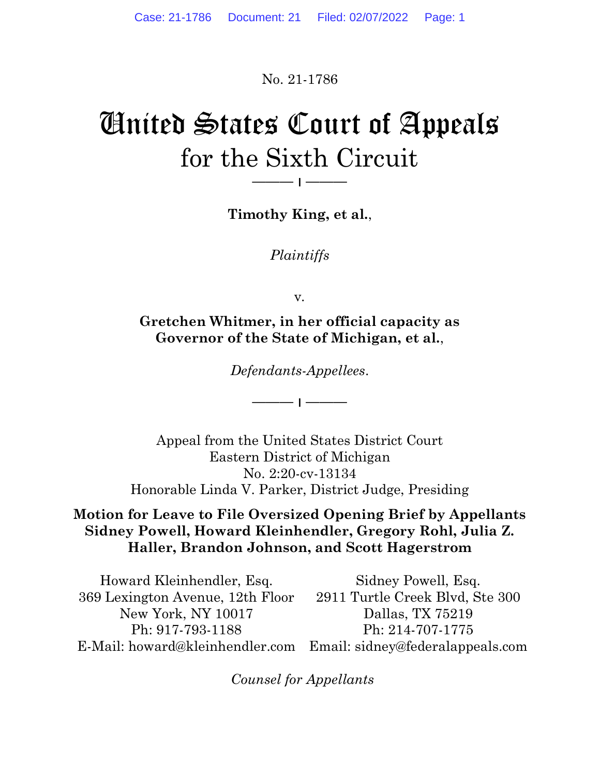No. 21-1786

# United States Court of Appeals for the Sixth Circuit

Timothy King, et al.,

——— ׀ ———

Plaintiffs

v.

Gretchen Whitmer, in her official capacity as Governor of the State of Michigan, et al.,

Defendants-Appellees.

——— ׀ ———

Appeal from the United States District Court Eastern District of Michigan No. 2:20-cv-13134 Honorable Linda V. Parker, District Judge, Presiding

## Motion for Leave to File Oversized Opening Brief by Appellants Sidney Powell, Howard Kleinhendler, Gregory Rohl, Julia Z. Haller, Brandon Johnson, and Scott Hagerstrom

Howard Kleinhendler, Esq. 369 Lexington Avenue, 12th Floor New York, NY 10017 Ph: 917-793-1188 E-Mail: howard@kleinhendler.com Email: sidney@federalappeals.com Sidney Powell, Esq. 2911 Turtle Creek Blvd, Ste 300 Dallas, TX 75219 Ph: 214-707-1775

Counsel for Appellants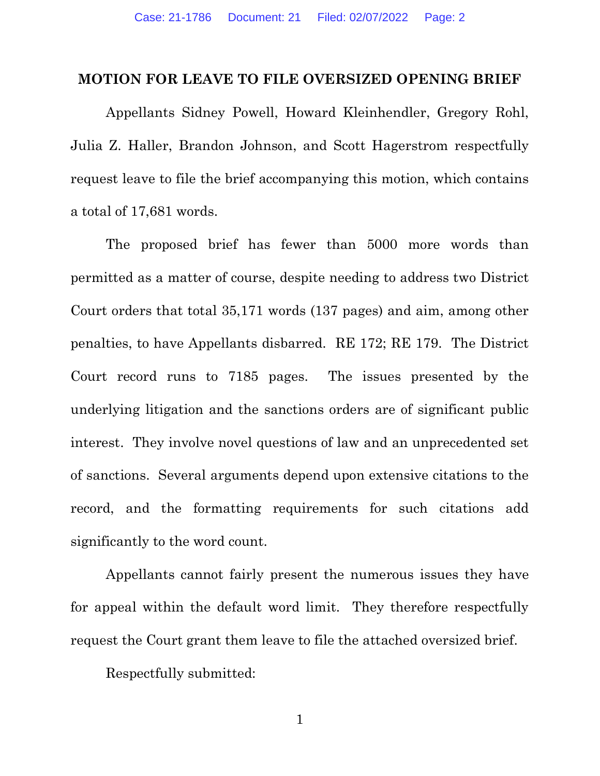#### MOTION FOR LEAVE TO FILE OVERSIZED OPENING BRIEF

 Appellants Sidney Powell, Howard Kleinhendler, Gregory Rohl, Julia Z. Haller, Brandon Johnson, and Scott Hagerstrom respectfully request leave to file the brief accompanying this motion, which contains a total of 17,681 words.

The proposed brief has fewer than 5000 more words than permitted as a matter of course, despite needing to address two District Court orders that total 35,171 words (137 pages) and aim, among other penalties, to have Appellants disbarred. RE 172; RE 179. The District Court record runs to 7185 pages. The issues presented by the underlying litigation and the sanctions orders are of significant public interest. They involve novel questions of law and an unprecedented set of sanctions. Several arguments depend upon extensive citations to the record, and the formatting requirements for such citations add significantly to the word count.

Appellants cannot fairly present the numerous issues they have for appeal within the default word limit. They therefore respectfully request the Court grant them leave to file the attached oversized brief.

Respectfully submitted:

1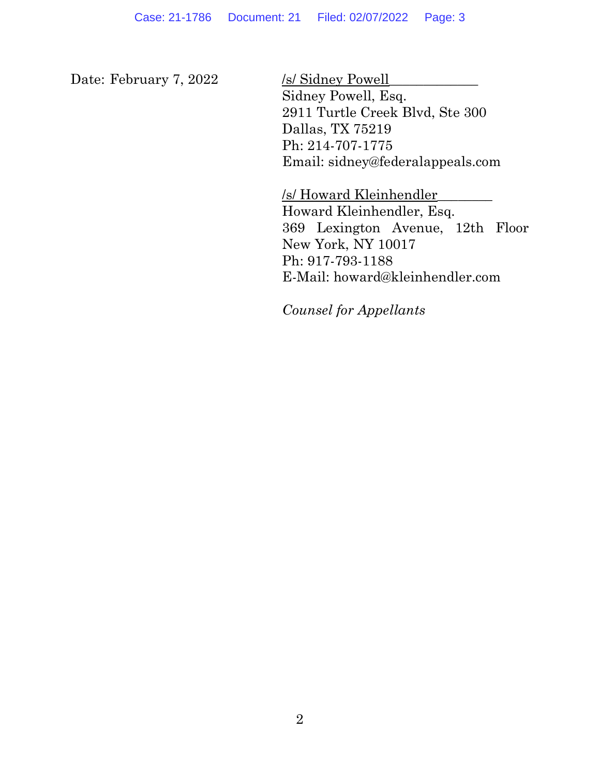Date: February 7, 2022 /s/ Sidney Powell

Sidney Powell, Esq. 2911 Turtle Creek Blvd, Ste 300 Dallas, TX 75219 Ph: 214-707-1775 Email: sidney@federalappeals.com

/s/ Howard Kleinhendler\_\_\_\_\_\_\_\_ Howard Kleinhendler, Esq. 369 Lexington Avenue, 12th Floor New York, NY 10017 Ph: 917-793-1188 E-Mail: howard@kleinhendler.com

Counsel for Appellants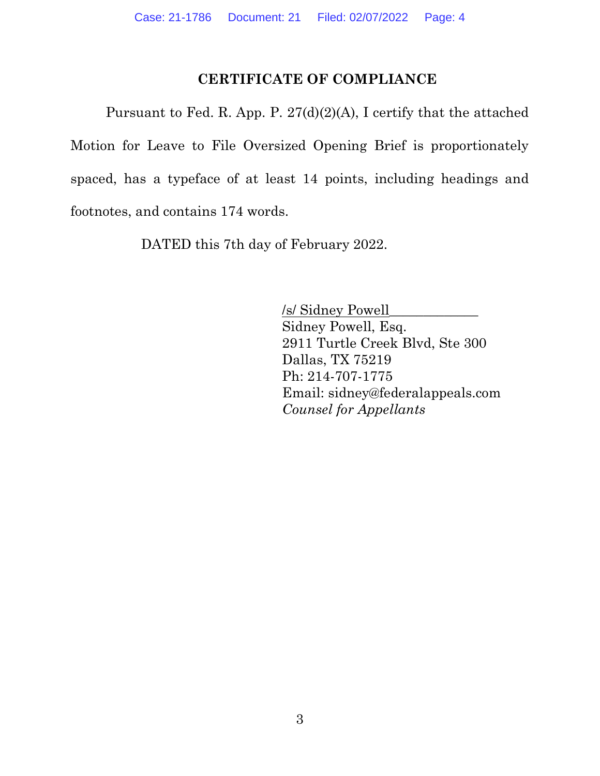### CERTIFICATE OF COMPLIANCE

Pursuant to Fed. R. App. P. 27(d)(2)(A), I certify that the attached Motion for Leave to File Oversized Opening Brief is proportionately spaced, has a typeface of at least 14 points, including headings and footnotes, and contains 174 words.

DATED this 7th day of February 2022.

 /s/ Sidney Powell\_\_\_\_\_\_\_\_\_\_\_\_\_ Sidney Powell, Esq. 2911 Turtle Creek Blvd, Ste 300 Dallas, TX 75219 Ph: 214-707-1775 Email: sidney@federalappeals.com Counsel for Appellants